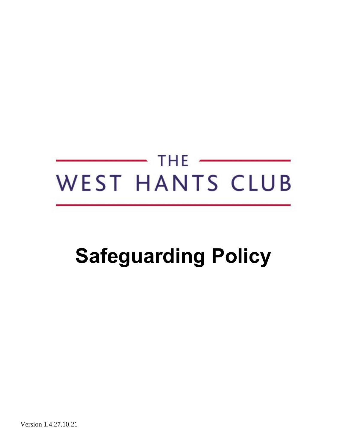# THE  $\overline{\phantom{a}}$ WEST HANTS CLUB

# **Safeguarding Policy**

Version 1.4.27.10.21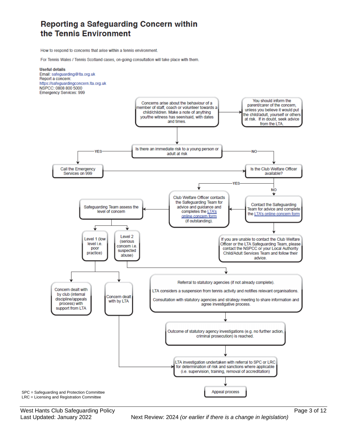### Reporting a Safeguarding Concern within the Tennis Environment

How to respond to concerns that arise within a tennis environment.

For Tennis Wales / Tennis Scotland cases, on-going consultation will take place with them.



West Hants Club Safeguarding Policy **Page 3 of 12** Nest Hants Club Safeguarding Policy

Last Updated: January 2022Next Review: 2024 *(or earlier if there is a change in legislation)*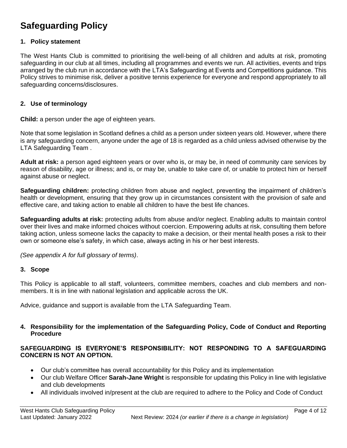## **Safeguarding Policy**

#### **1. Policy statement**

The West Hants Club is committed to prioritising the well-being of all children and adults at risk, promoting safeguarding in our club at all times, including all programmes and events we run. All activities, events and trips arranged by the club run in accordance with the LTA's Safeguarding at Events and Competitions guidance. This Policy strives to minimise risk, deliver a positive tennis experience for everyone and respond appropriately to all safeguarding concerns/disclosures.

#### **2. Use of terminology**

**Child:** a person under the age of eighteen years.

Note that some legislation in Scotland defines a child as a person under sixteen years old. However, where there is any safeguarding concern, anyone under the age of 18 is regarded as a child unless advised otherwise by the LTA Safeguarding Team .

**Adult at risk:** a person aged eighteen years or over who is, or may be, in need of community care services by reason of disability, age or illness; and is, or may be, unable to take care of, or unable to protect him or herself against abuse or neglect.

**Safeguarding children:** protecting children from abuse and neglect, preventing the impairment of children's health or development, ensuring that they grow up in circumstances consistent with the provision of safe and effective care, and taking action to enable all children to have the best life chances.

**Safeguarding adults at risk:** protecting adults from abuse and/or neglect. Enabling adults to maintain control over their lives and make informed choices without coercion. Empowering adults at risk, consulting them before taking action, unless someone lacks the capacity to make a decision, or their mental health poses a risk to their own or someone else's safety, in which case, always acting in his or her best interests.

*(See appendix A for full glossary of terms)*.

#### **3. Scope**

This Policy is applicable to all staff, volunteers, committee members, coaches and club members and nonmembers. It is in line with national legislation and applicable across the UK.

Advice, guidance and support is available from the LTA Safeguarding Team.

#### **4. Responsibility for the implementation of the Safeguarding Policy, Code of Conduct and Reporting Procedure**

#### **SAFEGUARDING IS EVERYONE'S RESPONSIBILITY: NOT RESPONDING TO A SAFEGUARDING CONCERN IS NOT AN OPTION.**

- Our club's committee has overall accountability for this Policy and its implementation
- Our club Welfare Officer **Sarah-Jane Wright** is responsible for updating this Policy in line with legislative and club developments
- All individuals involved in/present at the club are required to adhere to the Policy and Code of Conduct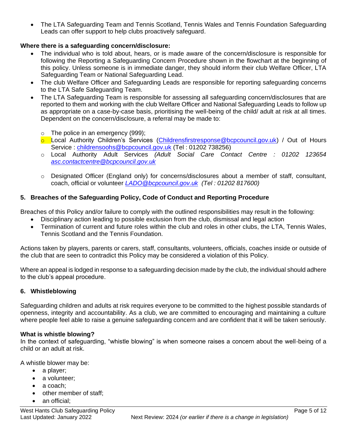• The LTA Safeguarding Team and Tennis Scotland, Tennis Wales and Tennis Foundation Safeguarding Leads can offer support to help clubs proactively safeguard.

#### **Where there is a safeguarding concern/disclosure:**

- The individual who is told about, hears, or is made aware of the concern/disclosure is responsible for following the Reporting a Safeguarding Concern Procedure shown in the flowchart at the beginning of this policy. Unless someone is in immediate danger, they should inform their club Welfare Officer, LTA Safeguarding Team or National Safeguarding Lead.
- The club Welfare Officer and Safeguarding Leads are responsible for reporting safeguarding concerns to the LTA Safe Safeguarding Team.
- The LTA Safeguarding Team is responsible for assessing all safeguarding concern/disclosures that are reported to them and working with the club Welfare Officer and National Safeguarding Leads to follow up as appropriate on a case-by-case basis, prioritising the well-being of the child/ adult at risk at all times. Dependent on the concern/disclosure, a referral may be made to:
	- o The police in an emergency (999);
	- **o** Local Authority Children's Services [\(Childrensfirstresponse@bcpcouncil.gov.uk\)](mailto:Childrensfirstresponse@bcpcouncil.gov.uk/) / Out of Hours Service: [childrensoohs@bcpcouncil.gov.uk](mailto:childrensoohs@bcpcouncil.gov.uk) (Tel: 01202 738256)
	- o Local Authority Adult Services *(Adult Social Care Contact Centre : 01202 123654 [asc.contactcentre@bcpcouncil.gov.uk](mailto:asc.contactcentre@bcpcouncil.gov.uk)*
	- $\circ$  Designated Officer (England only) for concerns/disclosures about a member of staff, consultant, coach, official or volunteer *[LADO@bcpcouncil.gov.uk](mailto:LADO@bcpcouncil.gov.uk) (Tel : 01202 817600)*

#### **5. Breaches of the Safeguarding Policy, Code of Conduct and Reporting Procedure**

Breaches of this Policy and/or failure to comply with the outlined responsibilities may result in the following:

- Disciplinary action leading to possible exclusion from the club, dismissal and legal action
- Termination of current and future roles within the club and roles in other clubs, the LTA, Tennis Wales, Tennis Scotland and the Tennis Foundation*.*

Actions taken by players, parents or carers, staff, consultants, volunteers, officials, coaches inside or outside of the club that are seen to contradict this Policy may be considered a violation of this Policy.

Where an appeal is lodged in response to a safeguarding decision made by the club, the individual should adhere to the club's appeal procedure.

#### **6. Whistleblowing**

Safeguarding children and adults at risk requires everyone to be committed to the highest possible standards of openness, integrity and accountability. As a club, we are committed to encouraging and maintaining a culture where people feel able to raise a genuine safeguarding concern and are confident that it will be taken seriously.

#### **What is whistle blowing?**

In the context of safeguarding, "whistle blowing" is when someone raises a concern about the well-being of a child or an adult at risk.

A whistle blower may be:

- a player;
- a volunteer:
- a coach:
- other member of staff;
- an official: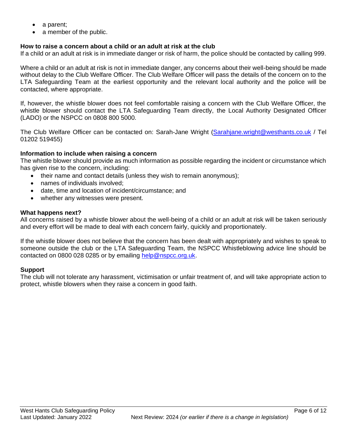- a parent;
- a member of the public.

#### **How to raise a concern about a child or an adult at risk at the club**

If a child or an adult at risk is in immediate danger or risk of harm, the police should be contacted by calling 999.

Where a child or an adult at risk is not in immediate danger, any concerns about their well-being should be made without delay to the Club Welfare Officer. The Club Welfare Officer will pass the details of the concern on to the LTA Safeguarding Team at the earliest opportunity and the relevant local authority and the police will be contacted, where appropriate.

If, however, the whistle blower does not feel comfortable raising a concern with the Club Welfare Officer, the whistle blower should contact the LTA Safeguarding Team directly, the Local Authority Designated Officer (LADO) or the NSPCC on 0808 800 5000.

The Club Welfare Officer can be contacted on: Sarah-Jane Wright [\(Sarahjane.wright@westhants.co.uk](mailto:Sarahjane.wright@westhants.co.uk) / Tel 01202 519455)

#### **Information to include when raising a concern**

The whistle blower should provide as much information as possible regarding the incident or circumstance which has given rise to the concern, including:

- their name and contact details (unless they wish to remain anonymous);
- names of individuals involved;
- date, time and location of incident/circumstance; and
- whether any witnesses were present.

#### **What happens next?**

All concerns raised by a whistle blower about the well-being of a child or an adult at risk will be taken seriously and every effort will be made to deal with each concern fairly, quickly and proportionately.

If the whistle blower does not believe that the concern has been dealt with appropriately and wishes to speak to someone outside the club or the LTA Safeguarding Team, the NSPCC Whistleblowing advice line should be contacted on 0800 028 0285 or by emailing [help@nspcc.org.uk.](mailto:help@nspcc.org.uk)

#### **Support**

The club will not tolerate any harassment, victimisation or unfair treatment of, and will take appropriate action to protect, whistle blowers when they raise a concern in good faith.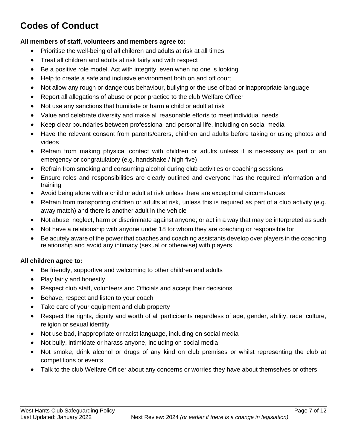# **Codes of Conduct**

#### **All members of staff, volunteers and members agree to:**

- Prioritise the well-being of all children and adults at risk at all times
- Treat all children and adults at risk fairly and with respect
- Be a positive role model. Act with integrity, even when no one is looking
- Help to create a safe and inclusive environment both on and off court
- Not allow any rough or dangerous behaviour, bullying or the use of bad or inappropriate language
- Report all allegations of abuse or poor practice to the club Welfare Officer
- Not use any sanctions that humiliate or harm a child or adult at risk
- Value and celebrate diversity and make all reasonable efforts to meet individual needs
- Keep clear boundaries between professional and personal life, including on social media
- Have the relevant consent from parents/carers, children and adults before taking or using photos and videos
- Refrain from making physical contact with children or adults unless it is necessary as part of an emergency or congratulatory (e.g. handshake / high five)
- Refrain from smoking and consuming alcohol during club activities or coaching sessions
- Ensure roles and responsibilities are clearly outlined and everyone has the required information and training
- Avoid being alone with a child or adult at risk unless there are exceptional circumstances
- Refrain from transporting children or adults at risk, unless this is required as part of a club activity (e.g. away match) and there is another adult in the vehicle
- Not abuse, neglect, harm or discriminate against anyone; or act in a way that may be interpreted as such
- Not have a relationship with anyone under 18 for whom they are coaching or responsible for
- Be acutely aware of the power that coaches and coaching assistants develop over players in the coaching relationship and avoid any intimacy (sexual or otherwise) with players

#### **All children agree to:**

- Be friendly, supportive and welcoming to other children and adults
- Play fairly and honestly
- Respect club staff, volunteers and Officials and accept their decisions
- Behave, respect and listen to your coach
- Take care of your equipment and club property
- Respect the rights, dignity and worth of all participants regardless of age, gender, ability, race, culture, religion or sexual identity
- Not use bad, inappropriate or racist language, including on social media
- Not bully, intimidate or harass anyone, including on social media
- Not smoke, drink alcohol or drugs of any kind on club premises or whilst representing the club at competitions or events
- Talk to the club Welfare Officer about any concerns or worries they have about themselves or others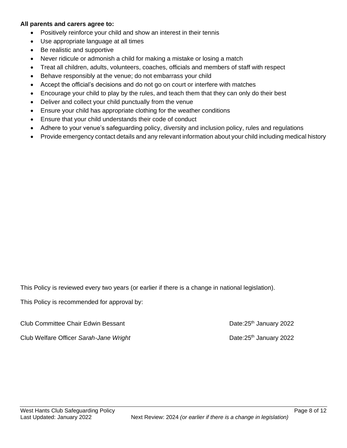#### **All parents and carers agree to:**

- Positively reinforce your child and show an interest in their tennis
- Use appropriate language at all times
- Be realistic and supportive
- Never ridicule or admonish a child for making a mistake or losing a match
- Treat all children, adults, volunteers, coaches, officials and members of staff with respect
- Behave responsibly at the venue; do not embarrass your child
- Accept the official's decisions and do not go on court or interfere with matches
- Encourage your child to play by the rules, and teach them that they can only do their best
- Deliver and collect your child punctually from the venue
- Ensure your child has appropriate clothing for the weather conditions
- Ensure that your child understands their code of conduct
- Adhere to your venue's safeguarding policy, diversity and inclusion policy, rules and regulations
- Provide emergency contact details and any relevant information about your child including medical history

This Policy is reviewed every two years (or earlier if there is a change in national legislation).

This Policy is recommended for approval by:

Club Committee Chair Edwin Bessant Date:25<sup>th</sup> January 2022

Club Welfare Officer *Sarah-Jane Wright* Date:25th January 2022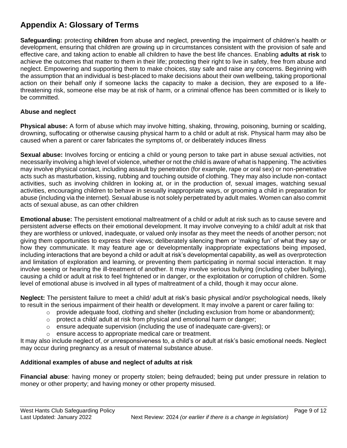## **Appendix A: Glossary of Terms**

**Safeguarding:** protecting **children** from abuse and neglect, preventing the impairment of children's health or development, ensuring that children are growing up in circumstances consistent with the provision of safe and effective care, and taking action to enable all children to have the best life chances. Enabling **adults at risk** to achieve the outcomes that matter to them in their life; protecting their right to live in safety, free from abuse and neglect. Empowering and supporting them to make choices, stay safe and raise any concerns. Beginning with the assumption that an individual is best-placed to make decisions about their own wellbeing, taking proportional action on their behalf only if someone lacks the capacity to make a decision, they are exposed to a lifethreatening risk, someone else may be at risk of harm, or a criminal offence has been committed or is likely to be committed.

#### **Abuse and neglect**

**Physical abuse:** A form of abuse which may involve hitting, shaking, throwing, poisoning, burning or scalding, drowning, suffocating or otherwise causing physical harm to a child or adult at risk. Physical harm may also be caused when a parent or carer fabricates the symptoms of, or deliberately induces illness

**Sexual abuse:** Involves forcing or enticing a child or young person to take part in abuse sexual activities, not necessarily involving a high level of violence, whether or not the child is aware of what is happening. The activities may involve physical contact, including assault by penetration (for example, rape or oral sex) or non-penetrative acts such as masturbation, kissing, rubbing and touching outside of clothing. They may also include non-contact activities, such as involving children in looking at, or in the production of, sexual images, watching sexual activities, encouraging children to behave in sexually inappropriate ways, or grooming a child in preparation for abuse (including via the internet). Sexual abuse is not solely perpetrated by adult males. Women can also commit acts of sexual abuse, as can other children

**Emotional abuse:** The persistent emotional maltreatment of a child or adult at risk such as to cause severe and persistent adverse effects on their emotional development. It may involve conveying to a child/ adult at risk that they are worthless or unloved, inadequate, or valued only insofar as they meet the needs of another person; not giving them opportunities to express their views; deliberately silencing them or 'making fun' of what they say or how they communicate. It may feature age or developmentally inappropriate expectations being imposed, including interactions that are beyond a child or adult at risk's developmental capability, as well as overprotection and limitation of exploration and learning, or preventing them participating in normal social interaction. It may involve seeing or hearing the ill-treatment of another. It may involve serious bullying (including cyber bullying), causing a child or adult at risk to feel frightened or in danger, or the exploitation or corruption of children. Some level of emotional abuse is involved in all types of maltreatment of a child, though it may occur alone.

**Neglect:** The persistent failure to meet a child/ adult at risk's basic physical and/or psychological needs, likely to result in the serious impairment of their health or development. It may involve a parent or carer failing to:

- $\circ$  provide adequate food, clothing and shelter (including exclusion from home or abandonment);
- $\circ$  protect a child/ adult at risk from physical and emotional harm or danger;
- ensure adequate supervision (including the use of inadequate care-givers); or
- o ensure access to appropriate medical care or treatment.

It may also include neglect of, or unresponsiveness to, a child's or adult at risk's basic emotional needs. Neglect may occur during pregnancy as a result of maternal substance abuse.

#### **Additional examples of abuse and neglect of adults at risk**

**Financial abuse**: having money or property stolen; being defrauded; being put under pressure in relation to money or other property; and having money or other property misused.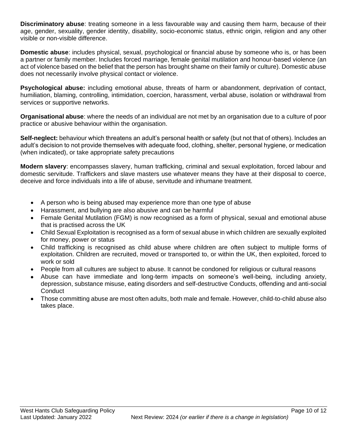**Discriminatory abuse**: treating someone in a less favourable way and causing them harm, because of their age, gender, sexuality, gender identity, disability, socio-economic status, ethnic origin, religion and any other visible or non-visible difference.

**Domestic abuse**: includes physical, sexual, psychological or financial abuse by someone who is, or has been a partner or family member. Includes forced marriage, female genital mutilation and honour-based violence (an act of violence based on the belief that the person has brought shame on their family or culture). Domestic abuse does not necessarily involve physical contact or violence.

**Psychological abuse:** including emotional abuse, threats of harm or abandonment, deprivation of contact, humiliation, blaming, controlling, intimidation, coercion, harassment, verbal abuse, isolation or withdrawal from services or supportive networks.

**Organisational abuse**: where the needs of an individual are not met by an organisation due to a culture of poor practice or abusive behaviour within the organisation.

**Self-neglect:** behaviour which threatens an adult's personal health or safety (but not that of others). Includes an adult's decision to not provide themselves with adequate food, clothing, shelter, personal hygiene, or medication (when indicated), or take appropriate safety precautions

**Modern slavery**: encompasses slavery, human trafficking, criminal and sexual exploitation, forced labour and domestic servitude. Traffickers and slave masters use whatever means they have at their disposal to coerce, deceive and force individuals into a life of abuse, servitude and inhumane treatment.

- A person who is being abused may experience more than one type of abuse
- Harassment, and bullying are also abusive and can be harmful
- Female Genital Mutilation (FGM) is now recognised as a form of physical, sexual and emotional abuse that is practised across the UK
- Child Sexual Exploitation is recognised as a form of sexual abuse in which children are sexually exploited for money, power or status
- Child trafficking is recognised as child abuse where children are often subject to multiple forms of exploitation. Children are recruited, moved or transported to, or within the UK, then exploited, forced to work or sold
- People from all cultures are subject to abuse. It cannot be condoned for religious or cultural reasons
- Abuse can have immediate and long-term impacts on someone's well-being, including anxiety, depression, substance misuse, eating disorders and self-destructive Conducts, offending and anti-social **Conduct**
- Those committing abuse are most often adults, both male and female. However, child-to-child abuse also takes place.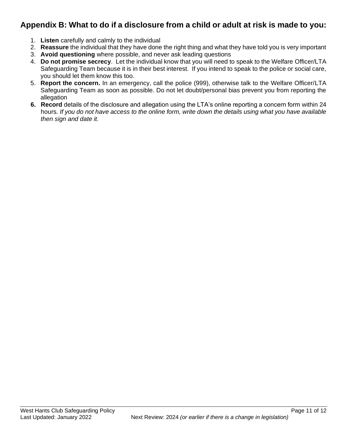## **Appendix B: What to do if a disclosure from a child or adult at risk is made to you:**

- 1. **Listen** carefully and calmly to the individual
- 2. **Reassure** the individual that they have done the right thing and what they have told you is very important
- 3. **Avoid questioning** where possible, and never ask leading questions
- 4. **Do not promise secrecy**. Let the individual know that you will need to speak to the Welfare Officer/LTA Safeguarding Team because it is in their best interest. If you intend to speak to the police or social care, you should let them know this too.
- 5. **Report the concern.** In an emergency, call the police (999), otherwise talk to the Welfare Officer/LTA Safeguarding Team as soon as possible. Do not let doubt/personal bias prevent you from reporting the allegation
- **6. Record** details of the disclosure and allegation using the LTA's online reporting a concern form within 24 hours*. If you do not have access to the online form, write down the details using what you have available then sign and date it.*